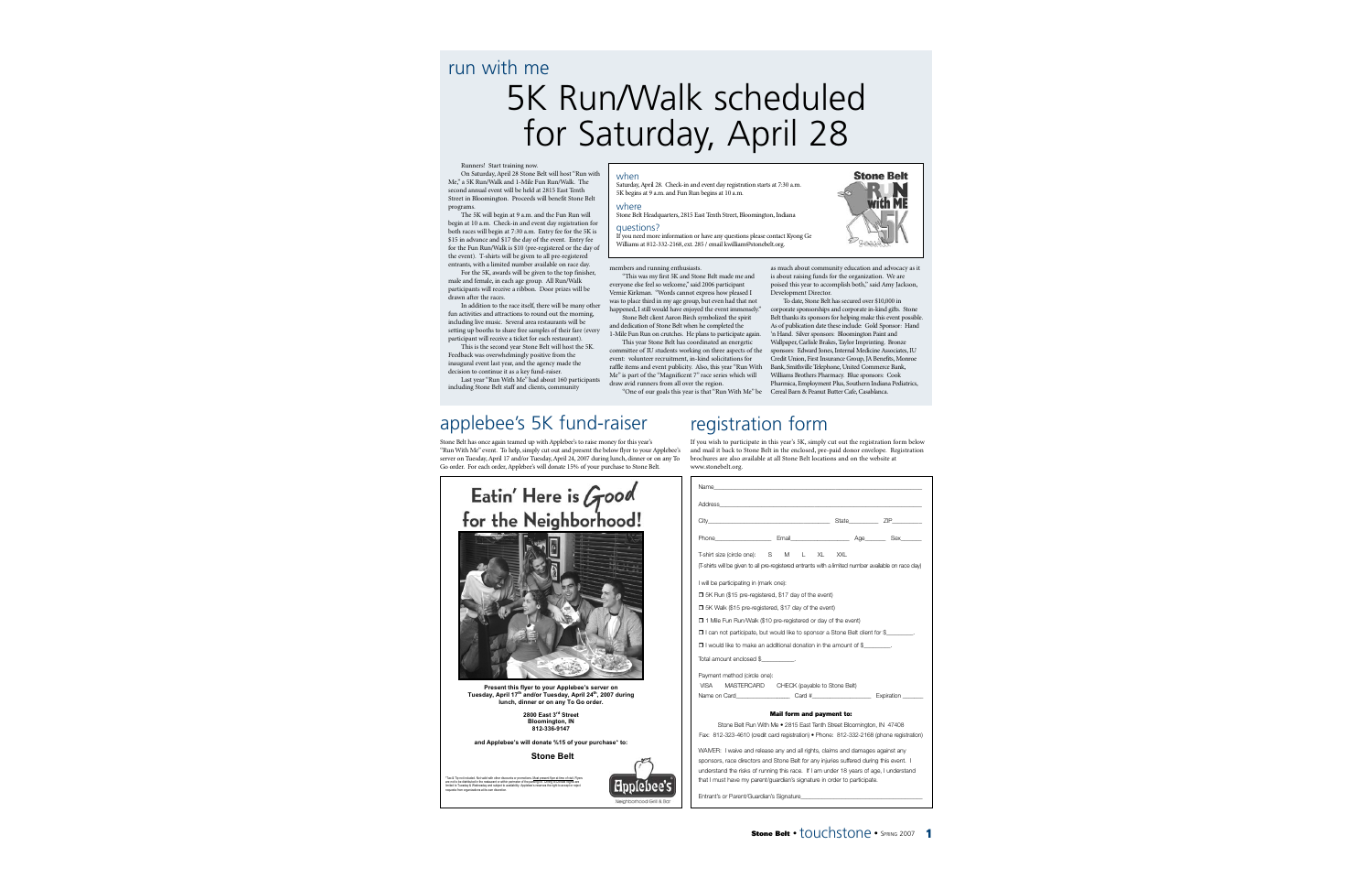## run with me

# 5K Run/Walk scheduled for Saturday, April 28

#### Runners! Start training now.

On Saturday, April 28 Stone Belt will host "Run with Me," a 5K Run/Walk and 1-Mile Fun Run/Walk. The second annual event will be held at 2815 East Tenth Street in Bloomington. Proceeds will benefit Stone Belt programs.

The 5K will begin at 9 a.m. and the Fun Run will begin at 10 a.m. Check-in and event day registration for both races will begin at 7:30 a.m. Entry fee for the 5K is \$15 in advance and \$17 the day of the event. Entry fee for the Fun Run/Walk is \$10 (pre-registered or the day of the event). T-shirts will be given to all pre-registered entrants, with a limited number available on race day.

For the 5K, awards will be given to the top finisher, male and female, in each age group. All Run/Walk participants will receive a ribbon. Door prizes will be drawn after the races.

In addition to the race itself, there will be many other fun activities and attractions to round out the morning, including live music. Several area restaurants will be setting up booths to share free samples of their fare (every participant will receive a ticket for each restaurant).

This is the second year Stone Belt will host the 5K. Feedback was overwhelmingly positive from the inaugural event last year, and the agency made the decision to continue it as a key fund-raiser.

Last year "Run With Me" had about 160 participants including Stone Belt staff and clients, community

#### when

Saturday, April 28. Check-in and event day registration starts at 7:30 a.m. 5K begins at 9 a.m. and Fun Run begins at 10 a.m.

#### where

Stone Belt Headquarters, 2815 East Tenth Street, Bloomington, Indiana

#### questions?

If you need more information or have any questions please contact Kyong Ge Williams at 812-332-2168, ext. 285 / email kwilliam@stonebelt.org.



"This was my first 5K and Stone Belt made me and everyone else feel so welcome," said 2006 participant Vernie Kirkman. "Words cannot express how pleased I was to place third in my age group, but even had that not happened, I still would have enjoyed the event immensely."

Stone Belt client Aaron Birch symbolized the spirit and dedication of Stone Belt when he completed the 1-Mile Fun Run on crutches. He plans to participate again.

This year Stone Belt has coordinated an energetic committee of IU students working on three aspects of the event: volunteer recruitment, in-kind solicitations for raffle items and event publicity. Also, this year "Run With Me" is part of the "Magnificent 7" race series which will draw avid runners from all over the region.

"One of our goals this year is that "Run With Me" be

as much about community education and advocacy as it is about raising funds for the organization. We are poised this year to accomplish both," said Amy Jackson, **Development Director.** 

To date, Stone Belt has secured over \$10,000 in corporate sponsorships and corporate in-kind gifts. Stone Belt thanks its sponsors for helping make this event possible. As of publication date these include: Gold Sponsor: Hand 'n Hand. Silver sponsors: Bloomington Paint and Wallpaper, Carlisle Brakes, Taylor Imprinting. Bronze sponsors: Edward Jones, Internal Medicine Associates, IU Credit Union, First Insurance Group, JA Benefits, Monroe Bank, Smithville Telephone, United Commerce Bank, Williams Brothers Pharmacy. Blue sponsors: Cook Pharmica, Employment Plus, Southern Indiana Pediatrics, Cereal Barn & Peanut Butter Cafe, Casablanca.

## applebee's 5K fund-raiser

Stone Belt has once again teamed up with Applebee's to raise money for this year's "Run With Me" event. To help, simply cut out and present the below flyer to your Applebee's server on Tuesday, April 17 and/or Go order. For each order, Appleb

| of Tuesday, April 24, 2007 during funch, diffici of on any To<br>bee's will donate 15% of your purchase to Stone Belt.  | procifures are also available at all biolit<br>www.stonebelt.org.                                                                                                                                                              |
|-------------------------------------------------------------------------------------------------------------------------|--------------------------------------------------------------------------------------------------------------------------------------------------------------------------------------------------------------------------------|
|                                                                                                                         | Name                                                                                                                                                                                                                           |
|                                                                                                                         |                                                                                                                                                                                                                                |
| Here is <i>Good</i><br>Neighborhood!                                                                                    | City of the contract of the contract of the contract of the contract of the contract of the contract of the contract of the contract of the contract of the contract of the contract of the contract of the contract of the co |
|                                                                                                                         | Phone Email                                                                                                                                                                                                                    |
|                                                                                                                         | T-shirt size (circle one):<br>M<br>S<br>(T-shirts will be given to all pre-registered e                                                                                                                                        |
|                                                                                                                         | I will be participating in (mark one):                                                                                                                                                                                         |
|                                                                                                                         | 5K Run (\$15 pre-registered, \$17 day                                                                                                                                                                                          |
|                                                                                                                         | 5K Walk (\$15 pre-registered, \$17 da                                                                                                                                                                                          |
|                                                                                                                         | 1 Mile Fun Run/Walk (\$10 pre-regist                                                                                                                                                                                           |
|                                                                                                                         | I can not participate, but would like t                                                                                                                                                                                        |
|                                                                                                                         | I would like to make an additional do                                                                                                                                                                                          |
|                                                                                                                         |                                                                                                                                                                                                                                |
|                                                                                                                         | Payment method (circle one):<br><b>VISA</b><br>MASTERCARD CHECK                                                                                                                                                                |
| yer to your Applebee's server on<br>and/or Tuesday, April 24 <sup>th</sup> , 2007 during<br>nner or on any To Go order. | Name on Card Card                                                                                                                                                                                                              |
| 2800 East 3 <sup>rd</sup> Street                                                                                        | <b>Mail form</b>                                                                                                                                                                                                               |
| <b>Bloomington, IN</b><br>812-336-9147                                                                                  | Stone Belt Run With Me • 2815                                                                                                                                                                                                  |
| rill donate %15 of your purchase* to:                                                                                   | Fax: 812-323-4610 (credit card registra                                                                                                                                                                                        |
| <b>Stone Belt</b>                                                                                                       | WAIVER: I waive and release any and a                                                                                                                                                                                          |
|                                                                                                                         | sponsors, race directors and Stone Bel                                                                                                                                                                                         |
| stions. Must present flyer at time of visit. Flyers                                                                     | understand the risks of running this rac<br>that I must have my narent/guardian's s                                                                                                                                            |
|                                                                                                                         |                                                                                                                                                                                                                                |

Entrant's or Parent/Guardian's Signature

## registration form

If you wish to participate in this year's 5K, simply cut out the registration form below and mail it back to Stone Belt in the enclosed, pre-paid donor envelope. Registration ne Belt locations and on the website at

| Phone Benail Email Age Sex<br>T-shirt size (circle one): S M L XL XXL<br>(T-shirts will be given to all pre-registered entrants with a limited number available on race day)<br>I will be participating in (mark one):<br>5K Run (\$15 pre-registered, \$17 day of the event)<br>5K Walk (\$15 pre-registered, \$17 day of the event)<br>1 Mile Fun Run/Walk (\$10 pre-registered or day of the event) |                                                                                                                                                                                                                                                                                                                                                              |
|--------------------------------------------------------------------------------------------------------------------------------------------------------------------------------------------------------------------------------------------------------------------------------------------------------------------------------------------------------------------------------------------------------|--------------------------------------------------------------------------------------------------------------------------------------------------------------------------------------------------------------------------------------------------------------------------------------------------------------------------------------------------------------|
|                                                                                                                                                                                                                                                                                                                                                                                                        |                                                                                                                                                                                                                                                                                                                                                              |
|                                                                                                                                                                                                                                                                                                                                                                                                        |                                                                                                                                                                                                                                                                                                                                                              |
|                                                                                                                                                                                                                                                                                                                                                                                                        |                                                                                                                                                                                                                                                                                                                                                              |
|                                                                                                                                                                                                                                                                                                                                                                                                        |                                                                                                                                                                                                                                                                                                                                                              |
|                                                                                                                                                                                                                                                                                                                                                                                                        |                                                                                                                                                                                                                                                                                                                                                              |
|                                                                                                                                                                                                                                                                                                                                                                                                        |                                                                                                                                                                                                                                                                                                                                                              |
|                                                                                                                                                                                                                                                                                                                                                                                                        |                                                                                                                                                                                                                                                                                                                                                              |
|                                                                                                                                                                                                                                                                                                                                                                                                        | $\Box$ I can not participate, but would like to sponsor a Stone Belt client for \$                                                                                                                                                                                                                                                                           |
|                                                                                                                                                                                                                                                                                                                                                                                                        |                                                                                                                                                                                                                                                                                                                                                              |
|                                                                                                                                                                                                                                                                                                                                                                                                        |                                                                                                                                                                                                                                                                                                                                                              |
|                                                                                                                                                                                                                                                                                                                                                                                                        |                                                                                                                                                                                                                                                                                                                                                              |
|                                                                                                                                                                                                                                                                                                                                                                                                        |                                                                                                                                                                                                                                                                                                                                                              |
|                                                                                                                                                                                                                                                                                                                                                                                                        |                                                                                                                                                                                                                                                                                                                                                              |
|                                                                                                                                                                                                                                                                                                                                                                                                        |                                                                                                                                                                                                                                                                                                                                                              |
|                                                                                                                                                                                                                                                                                                                                                                                                        |                                                                                                                                                                                                                                                                                                                                                              |
|                                                                                                                                                                                                                                                                                                                                                                                                        |                                                                                                                                                                                                                                                                                                                                                              |
|                                                                                                                                                                                                                                                                                                                                                                                                        | □ I would like to make an additional donation in the amount of \$<br>VISA MASTERCARD CHECK (payable to Stone Belt)<br>Name on Card Card # Card # Expiration<br>Mail form and payment to:<br>Stone Belt Run With Me • 2815 East Tenth Street Bloomington, IN 47408<br>Fax: 812-323-4610 (credit card registration) • Phone: 812-332-2168 (phone registration) |

\*Tax & Tip not included. Not valid with other discounts or promotions. Must present flyer at time of visit. Flyers are not to be distributed in the restaurant or within perimeter of the parking lot. Dining to Donate Nights are limited to Tuesday & Wednesday and subject to availability. Applebee's reserves the right to accept or reject requests from organizations at its own discretion.

**Present this fl Tuesday, April 17th and/or Tuesday, April 24th, 2007 during Lunch**, din

Fatin' I

for the

and Applebee's **w** 



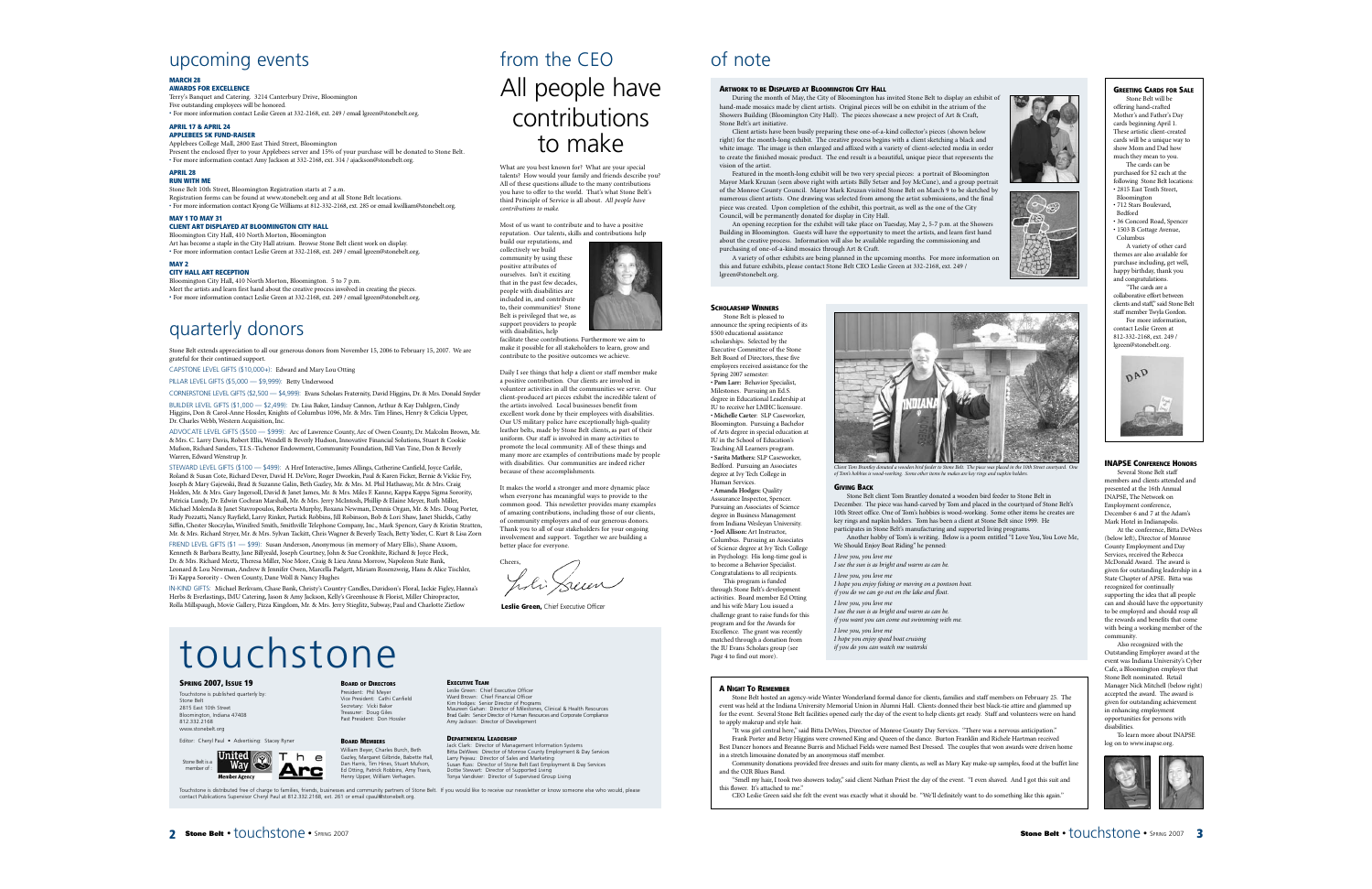## upcoming events

#### **MARCH 28 AWARDS FOR EXCELLENCE**

Terry's Banquet and Catering. 3214 Canterbury Drive, Bloomington Five outstanding employees will be honored. • For more information contact Leslie Green at 332-2168, ext. 249 / email lgreen@stonebelt.org.

#### **APRIL 17 & APRIL 24**

#### **APPLEBEES 5K FUND-RAISER**

Applebees College Mall, 2800 East Third Street, Bloomington Present the enclosed flyer to your Applebees server and 15% of your purchase will be donated to Stone Belt. • For more information contact Amy Jackson at 332-2168, ext. 314 / ajackson@stonebelt.org.

#### **APRIL 28 RUN WITH ME**

Stone Belt 10th Street, Bloomington Registration starts at 7 a.m. Registration forms can be found at www.stonebelt.org and at all Stone Belt locations. • For more information contact Kyong Ge Williams at 812-332-2168, ext. 285 or email kwilliam@stonebelt.org.

#### **MAY 1 TO MAY 31**

#### **CLIENT ART DISPLAYED AT BLOOMINGTON CITY HALL**

Bloomington City Hall, 410 North Morton, Bloomington Art has become a staple in the City Hall atrium. Browse Stone Belt client work on display. • For more information contact Leslie Green at 332-2168, ext. 249 / email lgreen@stonebelt.org.

#### **MAY 2**

#### **CITY HALL ART RECEPTION**

Bloomington City Hall, 410 North Morton, Bloomington. 5 to 7 p.m. Meet the artists and learn first hand about the creative process involved in creating the pieces. • For more information contact Leslie Green at 332-2168, ext. 249 / email lgreen@stonebelt.org.

## quarterly donors

Stone Belt extends appreciation to all our generous donors from November 15, 2006 to February 15, 2007. We are grateful for their continued support.

CAPSTONE LEVEL GIFTS (\$10,000+): Edward and Mary Lou Otting

PILLAR LEVEL GIFTS (\$5,000 — \$9,999): Betty Underwood

CORNERSTONE LEVEL GIFTS (\$2,500 — \$4,999): Evans Scholars Fraternity, David Higgins, Dr. & Mrs. Donald Snyder

BUILDER LEVEL GIFTS (\$1,000 — \$2,499): Dr. Lisa Baker, Lindsay Cannon, Arthur & Kay Dahlgren, Cindy Higgins, Don & Carol-Anne Hossler, Knights of Columbus 1096, Mr. & Mrs. Tim Hines, Henry & Celicia Upper, Dr. Charles Webb, Western Acquisition, Inc.

ADVOCATE LEVEL GIFTS (\$500 — \$999): Arc of Lawrence County, Arc of Owen County, Dr. Malcolm Brown, Mr. & Mrs. C. Larry Davis, Robert Ellis, Wendell & Beverly Hudson, Innovative Financial Solutions, Stuart & Cookie Mufson, Richard Sanders, T.I.S.-Tichenor Endowment, Community Foundation, Bill Van Tine, Don & Beverly Warren, Edward Wenstrup Jr.

STEWARD LEVEL GIFTS (\$100 — \$499): A Href Interactive, James Allings, Catherine Canfield, Joyce Carlile, Roland & Susan Cote, Richard Dever, David H. DeVore, Roger Dworkin, Paul & Karen Ficker, Bernie & Vickie Fry, Joseph & Mary Gajewski, Brad & Suzanne Galin, Beth Gazley, Mr. & Mrs. M. Phil Hathaway, Mr. & Mrs. Craig Holden, Mr. & Mrs. Gary Ingersoll, David & Janet James, Mr. & Mrs. Miles F. Kanne, Kappa Kappa Sigma Sorority, Patricia Lundy, Dr. Edwin Cochran Marshall, Mr. & Mrs. Jerry McIntosh, Phillip & Elaine Meyer, Ruth Miller, Michael Molenda & Janet Stavropoulos, Roberta Murphy, Roxana Newman, Dennis Organ, Mr. & Mrs. Doug Porter, Rudy Pozzatti, Nancy Rayfield, Larry Rinker, Partick Robbins, Jill Robinson, Bob & Lori Shaw, Janet Shields, Cathy Siffin, Chester Skoczylas, Winifred Smith, Smithville Telephone Company, Inc., Mark Spencer, Gary & Kristin Stratten, Mr. & Mrs. Richard Stryer, Mr. & Mrs. Sylvan Tackitt, Chris Wagner & Beverly Teach, Betty Yoder, C. Kurt & Lisa Zorn

FRIEND LEVEL GIFTS (\$1 - \$99): Susan Anderson, Anonymous (in memory of Mary Ellis), Shane Axsom, Kenneth & Barbara Beatty, Jane Billyeald, Joseph Courtney, John & Sue Cronkhite, Richard & Joyce Fleck, Dr. & Mrs. Richard Meetz, Theresa Miller, Noe More, Craig & Lieu Anna Morrow, Napoleon State Bank, Leonard & Lou Newman, Andrew & Jennifer Owen, Marcella Padgett, Miriam Rosenzweig, Hans & Alice Tischler, Tri Kappa Sorority - Owen County, Dane Woll & Nancy Hughes

IN-KIND GIFTS: Michael Berkvam, Chase Bank, Christy's Country Candles, Davidson's Floral, Jackie Figley, Hanna's Herbs & Everlastings, IMU Catering, Jason & Amy Jackson, Kelly's Greenhouse & Florist, Miller Chiropractor, Rolla Millspaugh, Movie Gallery, Pizza Kingdom, Mr. & Mrs. Jerry Stieglitz, Subway, Paul and Charlotte Zietlow

# touchstone

#### **SPRING 2007, ISSUE 19** Touchstone is published quarterly by:

Stone Belt 2815 East 10th Street Bloomington, Indiana 47408 812.332.2168 www.stonebelt.org

Editor: Cheryl Paul • Advertising: Stacey Ryner



#### **BOARD OF DIRECTORS**

President: Phil Meyer Vice President: Cathi Canfield Secretary: Vicki Baker Treasurer: Doug Giles Past President: Don Hossler

#### **BOARD MEMBERS**



Jack Clark: Director of Management Information Systems Bitta DeWees: Director of Monroe County Employment & Day Services Larry Pejeau: Director of Sales and Marketing Susan Russ: Director of Stone Belt East Employment & Day Services Dottie Stewart: Director of Supported Living Tonya Vandivier: Director of Supervised Group Living William Beyer, Charles Burch, Beth Gazley, Margaret Gilbride, Babette Hall, Dan Harris, Tim Hines, Stuart Mufson, Ed Otting, Patrick Robbins, Amy Travis, Henry Upper, William Verhagen

**EXECUTIVE TEAM**

Leslie Green: Chief Executive Officer Ward Brown: Chief Financial Officer

Amy Jackson: Director of Development **DEPARTMENTAL LEADERSHIP**

Kim Hodges: Senior Director of Programs Maureen Gahan: Director of Milestones, Clinical & Health Resources Brad Galin: Senior Director of Human Resources and Corporate Compliance

lõuchstone is distributed free of charge to families, friends, businesses and community partners of Stone Belt. If you would like to receive our newsletter or know someone else who would, please<br>contact Publications Superv

## from the CEO All people have contributions to make

What are you best known for? What are your special talents? How would your family and friends describe you? All of these questions allude to the many contributions you have to offer to the world. That's what Stone Belt's third Principle of Service is all about. *All people have contributions to make.*

Most of us want to contribute and to have a positive reputation. Our talents, skills and contributions help build our reputations, and



facilitate these contributions. Furthermore we aim to make it possible for all stakeholders to learn, grow and contribute to the positive outcomes we achieve.

Daily I see things that help a client or staff member make a positive contribution. Our clients are involved in volunteer activities in all the communities we serve. Our client-produced art pieces exhibit the incredible talent of the artists involved. Local businesses benefit from excellent work done by their employees with disabilities. Our US military police have exceptionally high-quality leather belts, made by Stone Belt clients, as part of their uniform. Our staff is involved in many activities to promote the local community. All of these things and many more are examples of contributions made by people with disabilities. Our communities are indeed richer because of these accomplishments.

It makes the world a stronger and more dynamic place when everyone has meaningful ways to provide to the common good. This newsletter provides many examples of amazing contributions, including those of our clients, of community employers and of our generous donors. Thank you to all of our stakeholders for your ongoing involvement and support. Together we are building a better place for everyone.

Cheers, J.li Sum

**Leslie Green,** Chief Executive Officer

## of note

#### **ARTWORK TO BE DISPLAYED AT BLOOMINGTON CITY HALL**

During the month of May, the City of Bloomington has invited Stone Belt to display an exhibit of hand-made mosaics made by client artists. Original pieces will be on exhibit in the atrium of the Showers Building (Bloomington City Hall). The pieces showcase a new project of Art & Craft, Stone Belt's art initiative.

Client artists have been busily preparing these one-of-a-kind collector's pieces (shown below right) for the month-long exhibit. The creative process begins with a client sketching a black and white image. The image is then enlarged and affixed with a variety of client-selected media in order to create the finished mosaic product. The end result is a beautiful, unique piece that represents the vision of the artist.

Featured in the month-long exhibit will be two very special pieces: a portrait of Bloomington Mayor Mark Kruzan (seen above right with artists Billy Setser and Joy McCune), and a group portrait of the Monroe County Council. Mayor Mark Kruzan visited Stone Belt on March 9 to be sketched by numerous client artists. One drawing was selected from among the artist submissions, and the final piece was created. Upon completion of the exhibit, this portrait, as well as the one of the City Council, will be permanently donated for display in City Hall.

An opening reception for the exhibit will take place on Tuesday, May 2, 5-7 p.m. at the Showers Building in Bloomington. Guests will have the opportunity to meet the artists, and learn first hand about the creative process. Information will also be available regarding the commissioning and purchasing of one-of-a-kind mosaics through Art & Craft.

A variety of other exhibits are being planned in the upcoming months. For more information on this and future exhibits, please contact Stone Belt CEO Leslie Green at 332-2168, ext. 249 / lgreen@stonebelt.org

#### **SCHOLARSHIP WINNERS** Stone Belt is pleased to

announce the spring recipients of its \$500 educational assistance scholarships. Selected by the Executive Committee of the Stone Belt Board of Directors, these five employees received assistance for the Spring 2007 semester: • **Pam Larr:** Behavior Specialist, Milestones. Pursuing an Ed.S. degree in Educational Leadership at IU to receive her LMHC licensure. • **Michelle Carter**: SLP Caseworker, Bloomington. Pursuing a Bachelor of Arts degree in special education at IU in the School of Education's Teaching All Learners program. • **Sarita Mathers:** SLP Caseworker, Bedford. Pursuing an Associates degree at Ivy Tech College in Human Services. • **Amanda Hodges:** Quality Asssurance Inspector, Spencer. Pursuing an Associates of Science degree in Business Management from Indiana Wesleyan University. • **Joel Allison:** Art Instructor, Columbus. Pursuing an Associates of Science degree at Ivy Tech College in Psychology. His long-time goal is

to become a Behavior Specialist. Congratulations to all recipients. This program is funded through Stone Belt's development activities. Board member Ed Otting and his wife Mary Lou issued a challenge grant to raise funds for this

the IU Evans Scholars group (see

#### **A NIGHT TO REMEMBER**

Page 4 to find out more).

Stone Belt hosted an agency-wide Winter Wonderland formal dance for clients, families and staff members on February 25. The event was held at the Indiana University Memorial Union in Alumni Hall. Clients donned their best black-tie attire and glammed up for the event. Several Stone Belt facilities opened early the day of the event to help clients get ready. Staff and volunteers were on hand to apply makeup and style hair.

"It was girl central here," said Bitta DeWees, Director of Monroe County Day Services. "There was a nervous anticipation."

Frank Porter and Betsy Higgins were crowned King and Queen of the dance. Burton Franklin and Richele Hartman received Best Dancer honors and Breanne Burris and Michael Fields were named Best Dressed. The couples that won awards were driven home in a stretch limousine donated by an anonymous staff member.

Community donations provided free dresses and suits for many clients, as well as Mary Kay make-up samples, food at the buffet line and the O2R Blues Band.

"Smell my hair, I took two showers today," said client Nathan Priest the day of the event. "I even shaved. And I got this suit and this flower. It's attached to me."

CEO Leslie Green said she felt the event was exactly what it should be. "We'll definitely want to do something like this again."



#### **GIVING BACK**

December. The piece was hand-carved by Tom and placed in the courtyard of Stone Belt's 10th Street office. One of Tom's hobbies is wood-working. Some other items he creates are key rings and napkin holders. Tom has been a client at Stone Belt since 1999. He participates in Stone Belt's manufacturing and supported living programs. Another hobby of Tom's is writing. Below is a poem entitled "I Love You, You Love Me,

We Should Enjoy Boat Riding" he penned:

*I love you, you love me I see the sun is as bright and warm as can be. I hope you enjoy fishing or moving on a pontoon boat. if you do we can go out on the lake and float.*

*I love you, you love me*

*I see the sun is as bright and warm as can be. if you want you can come out swimming with me.*

*I love you, you love me I hope you enjoy speed boat cruising if you do you can watch me waterski*

can and should have the opportunity to be employed and should reap all the rewards and benefits that come with being a working member of the community. Also recognized with the Outstanding Employer award at the event was Indiana University's Cyber Cafe, a Bloomington employer that Stone Belt nominated. Retail

**INAPSE CONFERENCE HONORS** Several Stone Belt staff members and clients attended and presented at the 16th Annual INAPSE, The Network on Employment conference, December 6 and 7 at the Adam's Mark Hotel in Indianapolis. At the conference, Bitta DeWees (below left), Director of Monroe County Employment and Day Services, received the Rebecca McDonald Award. The award is given for outstanding leadership in a State Chapter of APSE. Bitta was recognized for continually supporting the idea that all people

DAD

**GREETING CARDS FOR SALE** Stone Belt will be offering hand-crafted Mother's and Father's Day cards beginning April 1. These artistic client-created cards will be a unique way to show Mom and Dad how much they mean to you. The cards can be purchased for \$2 each at the following Stone Belt locations: • 2815 East Tenth Street, Bloomington • 712 Stars Boulevard, Bedford

• 36 Concord Road, Spencer • 1503 B Cottage Avenue, Columbus

A variety of other card themes are also available for purchase including, get well, happy birthday, thank you and congratulations. "The cards are a collaborative effort between clients and staff," said Stone Belt staff member Twyla Gordon. For more information, contact Leslie Green at 812-332-2168, ext. 249 / lgreen@stonebelt.org

Manager Nick Mitchell (below right) accepted the award. The award is given for outstanding achievement in enhancing employment opportunities for persons with

disabilities. To learn more about INAPSE log on to www.inapse.org.



Client Tom Brantley donated a wooden bird feeder to Stone Belt. The piece was placed in the 10th Street courtyard. One<br>of Tom's hobbies is wood-working. Some other items he makes are key rings and napkin holders.

Stone Belt client Tom Brantley donated a wooden bird feeder to Stone Belt in

*I love you, you love me*

program and for the Awards for Excellence. The grant was recently matched through a donation from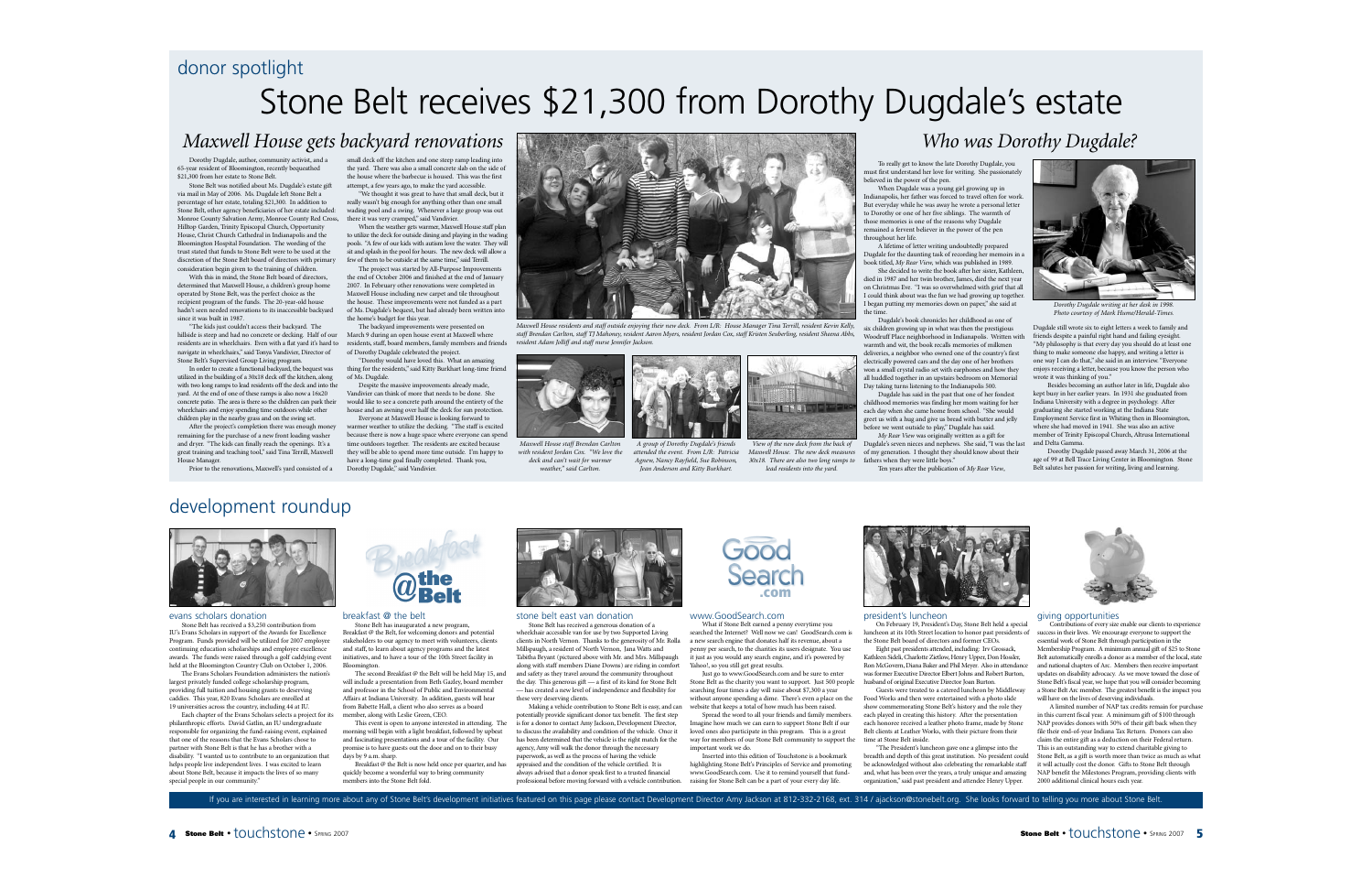## donor spotlight

# Stone Belt receives \$21,300 from Dorothy Dugdale's estate

## *Maxwell House gets backyard renovations*

Dorothy Dugdale, author, community activist, and a 65-year resident of Bloomington, recently bequeathed \$21,300 from her estate to Stone Belt. Stone Belt was notified about Ms. Dugdale's estate gift

via mail in May of 2006. Ms. Dugdale left Stone Belt a percentage of her estate, totaling \$21,300. In addition to Stone Belt, other agency beneficiaries of her estate included: Monroe County Salvation Army, Monroe County Red Cross, there it was very cramped," said Vandivier. Hilltop Garden, Trinity Episcopal Church, Opportunity House, Christ Church Cathedral in Indianapolis and the Bloomington Hospital Foundation. The wording of the trust stated that funds to Stone Belt were to be used at the discretion of the Stone Belt board of directors with primary consideration begin given to the training of children.

With this in mind, the Stone Belt board of directors, determined that Maxwell House, a children's group home operated by Stone Belt, was the perfect choice as the recipient program of the funds. The 20-year-old house hadn't seen needed renovations to its inaccessible backyard since it was built in 1987.

"The kids just couldn't access their backyard. The hillside is steep and had no concrete or decking. Half of our residents are in wheelchairs. Even with a flat yard it's hard to navigate in wheelchairs," said Tonya Vandivier, Director of Stone Belt's Supervised Group Living program.

In order to create a functional backyard, the bequest was utilized in the building of a 30x18 deck off the kitchen, along with two long ramps to lead residents off the deck and into the yard. At the end of one of these ramps is also now a 16x20 concrete patio. The area is there so the children can park their wheelchairs and enjoy spending time outdoors while other children play in the nearby grass and on the swing set.

After the project's completion there was enough money remaining for the purchase of a new front loading washer and dryer. "The kids can finally reach the openings. It's a great training and teaching tool," said Tina Terrill, Maxwell House Manager.

Prior to the renovations, Maxwell's yard consisted of <sup>a</sup> Dorothy Dugdale," said Vandivier.

small deck off the kitchen and one steep ramp leading into the yard. There was also a small concrete slab on the side of the house where the barbecue is housed. This was the first attempt, a few years ago, to make the yard accessible.

"We thought it was great to have that small deck, but it really wasn't big enough for anything other than one small wading pool and a swing. Whenever a large group was out

When the weather gets warmer, Maxwell House staff plan to utilize the deck for outside dining and playing in the wading pools. "A few of our kids with autism love the water. They will sit and splash in the pool for hours. The new deck will allow a few of them to be outside at the same time," said Terrill

The project was started by All-Purpose Improvements the end of October 2006 and finished at the end of January 2007. In February other renovations were completed in Maxwell House including new carpet and tile throughout the house. These improvements were not funded as a part of Ms. Dugdale's bequest, but had already been written into the home's budget for this year.

The backyard improvements were presented on March 9 during an open house event at Maxwell where residents, staff, board members, family members and friends of Dorothy Dugdale celebrated the project.

"Dorothy would have loved this. What an amazing thing for the residents," said Kitty Burkhart long-time friend of Ms. Dugdale.

Despite the massive improvements already made, Vandivier can think of more that needs to be done. She would like to see a concrete path around the entirety of the house and an awning over half the deck for sun protection. Everyone at Maxwell House is looking forward to

warmer weather to utilize the decking. "The staff is excited because there is now a huge space where everyone can spend time outdoors together. The residents are excited because they will be able to spend more time outside. I'm happy to have a long-time goal finally completed. Thank you,



*Maxwell House residents and staff outside enjoying their new deck. From L/R: House Manager Tina Terrill, resident Kevin Kelly,* staff Brendan Carlton, staff TJ Mahoney, resident Aaron Myers, resident Jordan Cox, staff Kristen Seuberling, resident Sheena Abbs, *resident Adam Jolliff and staff nurse Jennifer Jackson.*



*Maxwell House staff Brendan Carlton with resident Jordan Cox. "We love the deck and can't wait for warmer weather," said Carlton.*



*A group of Dorothy Dugdale's friends attended the event. From L/R: Patricia Agnew, Nancy Rayfield, Sue Robinson, Jean Anderson and Kitty Burkhart.*



*View of the new deck from the back of Maxwell House. The new deck measures 30x18. There are also two long ramps to lead residents into the yard.*

*Who was Dorothy Dugdale?*

To really get to know the late Dorothy Dugdale, you must first understand her love for writing. She passionately believed in the power of the pen.

When Dugdale was a young girl growing up in Indianapolis, her father was forced to travel often for work. But everyday while he was away he wrote a personal letter to Dorothy or one of her five siblings. The warmth of those memories is one of the reasons why Dugdale remained a fervent believer in the power of the pen throughout her life.

A lifetime of letter writing undoubtedly prepared Dugdale for the daunting task of recording her memoirs in a book titled, *My Rear View,* which was published in 1989. She decided to write the book after her sister, Kathleen,

died in 1987 and her twin brother, James, died the next year on Christmas Eve. "I was so overwhelmed with grief that all I could think about was the fun we had growing up together. I began putting my memories down on paper," she said at the time.

Dugdale's book chronicles her childhood as one of six children growing up in what was then the prestigious Woodruff Place neighborhood in Indianapolis. Written with warmth and wit, the book recalls memories of milkmen deliveries, a neighbor who owned one of the country's first electrically powered cars and the day one of her brothers won a small crystal radio set with earphones and how they all huddled together in an upstairs bedroom on Memorial Day taking turns listening to the Indianapolis 500.

Dugdale has said in the past that one of her fondest childhood memories was finding her mom waiting for her each day when she came home from school. "She would greet us with a hug and give us bread with butter and jelly before we went outside to play," Dugdale has said.

*My Rear View* was originally written as a gift for Dugdale's seven nieces and nephews. She said, "I was the last of my generation. I thought they should know about their

fathers when they were little boys." Ten years after the publication of *My Rear View*,



*Dorothy Dugdale writing at her desk in 1998. Photo courtesy of Mark Hume/Herald-Times.*

Dugdale still wrote six to eight letters a week to family and friends despite a painful right hand and failing eyesight. "My philosophy is that every day you should do at least one thing to make someone else happy, and writing a letter is one way I can do that," she said in an interview. "Everyone enjoys receiving a letter, because you know the person who wrote it was thinking of you."

Besides becoming an author later in life, Dugdale also kept busy in her earlier years. In 1931 she graduated from Indiana University with a degree in psychology. After graduating she started working at the Indiana State Employment Service first in Whiting then in Bloomington, where she had moved in 1941. She was also an active member of Trinity Episcopal Church, Altrusa International and Delta Gamma.

Dorothy Dugdale passed away March 31, 2006 at the age of 99 at Bell Trace Living Center in Bloomington. Stone Belt salutes her passion for writing, living and learning.

## development roundup



#### evans scholars donation

Stone Belt has received a \$3,250 contribution from IU's Evans Scholars in support of the Awards for Excellence Program. Funds provided will be utilized for 2007 employee continuing education scholarships and employee excellence awards. The funds were raised through a golf caddying event held at the Bloomington Country Club on October 1, 2006.

The Evans Scholars Foundation administers the nation's largest privately funded college scholarship program, providing full tuition and housing grants to deserving caddies. This year, 820 Evans Scholars are enrolled at 19 universities across the country, including 44 at IU.

Each chapter of the Evans Scholars selects a project for its philanthropic efforts. David Gatlin, an IU undergraduate responsible for organizing the fund-raising event, explained that one of the reasons that the Evans Scholars chose to partner with Stone Belt is that he has a brother with a disability. "I wanted us to contribute to an organization that helps people live independent lives. I was excited to learn about Stone Belt, because it impacts the lives of so many special people in our community.



#### breakfast @ the belt

Stone Belt has inaugurated a new program, Breakfast @ the Belt, for welcoming donors and potential stakeholders to our agency to meet with volunteers, clients and staff, to learn about agency programs and the latest initiatives, and to have a tour of the 10th Street facility in Bloomington.

The second Breakfast @ the Belt will be held May 15, and will include a presentation from Beth Gazley, board member and professor in the School of Public and Environmental Affairs at Indiana University. In addition, guests will hear from Babette Hall, a client who also serves as a board member, along with Leslie Green, CEO.

This event is open to anyone interested in attending. The morning will begin with a light breakfast, followed by upbeat and fascinating presentations and a tour of the facility. Our promise is to have guests out the door and on to their busy days by 9 a.m. sharp.

Breakfast  $\overline{\omega}$  the Belt is now held once per quarter, and has quickly become a wonderful way to bring community members into the Stone Belt fold.



stone belt east van donation Stone Belt has received a generous donation of <sup>a</sup> wheelchair accessible van for use by two Supported Living clients in North Vernon. Thanks to the generosity of Mr. Rolla Millspaugh, a resident of North Vernon, Jana Watts and Tabitha Bryant (pictured above with Mr. and Mrs. Millspaugh along with staff members Diane Downs) are riding in comfort and safety as they travel around the community throughout the day. This generous gift — a first of its kind for Stone Belt — has created a new level of independence and flexibility for these very deserving clients.

Making a vehicle contribution to Stone Belt is easy, and can potentially provide significant donor tax benefit. The first step is for a donor to contact Amy Jackson, Development Director, to discuss the availability and condition of the vehicle. Once it has been determined that the vehicle is the right match for the agency, Amy will walk the donor through the necessary paperwork, as well as the process of having the vehicle appraised and the condition of the vehicle certified. It is a<br>ways advised that a donor speak first to a trusted financial professional before moving forward with a vehicle contribution.



#### www.GoodSearch.com

What if Stone Belt earned a penny everytime you searched the Internet? Well now we can! GoodSearch.com is a new search engine that donates half its revenue, about a penny per search, to the charities its users designate. You use it just as you would any search engine, and it's powered by Yahoo!, so you still get great results.

Just go to www.GoodSearch.com and be sure to enter Stone Belt as the charity you want to support. Just 500 people searching four times a day will raise about \$7,300 a year without anyone spending a dime. There's even a place on the website that keeps a total of how much has been raised.

Spread the word to all your friends and family members. Imagine how much we can earn to support Stone Belt if our loved ones also participate in this program. This is a great way for members of our Stone Belt community to support the important work we do.

Inserted into this edition of Touchstone is a bookmark highlighting Stone Belt's Principles of Service and promoting www.GoodSearch.com. Use it to remind yourself that fundraising for Stone Belt can be a part of your every day life.



#### president's luncheon

On February 19, President's Day, Stone Belt held a special luncheon at its 10th Street location to honor past presidents of the Stone Belt board of directors and former CEOs.

Eight past presidents attended, including: Irv Grossack, Kathleen Sideli, Charlotte Zietlow, Henry Upper, Don Hossler, Ron McGovern, Diana Baker and Phil Meyer. Also in attendance was former Executive Director Elbert Johns and Robert Burton, husband of original Executive Director Joan Burton.

Guests were treated to a catered luncheon by Middleway Food Works and then were entertained with a photo slide show commemorating Stone Belt's history and the role they each played in creating this history. After the presentation each honoree received a leather photo frame, made by Stone Belt clients at Leather Works, with their picture from their time at Stone Belt inside.

"The President's luncheon gave one a glimpse into the breadth and depth of this great institution. No president could be acknowledged without also celebrating the remarkable staff and, what has been over the years, a truly unique and amazing organization," said past president and attendee Henry Upper.



#### giving opportunities

tions of every size enable our clients to experience success in their lives. We encourage everyone to support the essential work of Stone Belt through participation in the Membership Program. A minimum annual gift of \$25 to Stone Belt automatically enrolls a donor as a member of the local, state and national chapters of Arc. Members then receive important updates on disability advocacy. As we move toward the close of Stone Belt's fiscal year, we hope that you will consider becoming a Stone Belt Arc member. The greatest benefit is the impact you will have on the lives of deserving individuals.

A limited number of NAP tax credits remain for purchase in this current fiscal year. A minimum gift of \$100 through NAP provides donors with 50% of their gift back when they file their end-of-year Indiana Tax Return. Donors can also claim the entire gift as a deduction on their Federal return. This is an outstanding way to extend charitable giving to Stone Belt, as a gift is worth more than twice as much as what it will actually cost the donor. Gifts to Stone Belt through NAP benefit the Milestones Program, providing clients with 2000 additional clinical hours each year.

If you are interested in learning more about any of Stone Belt's development initiatives featured on this page please contact Development Director Amy Jackson at 812-332-2168, ext. 314 / ajackson@stonebelt.org. She looks f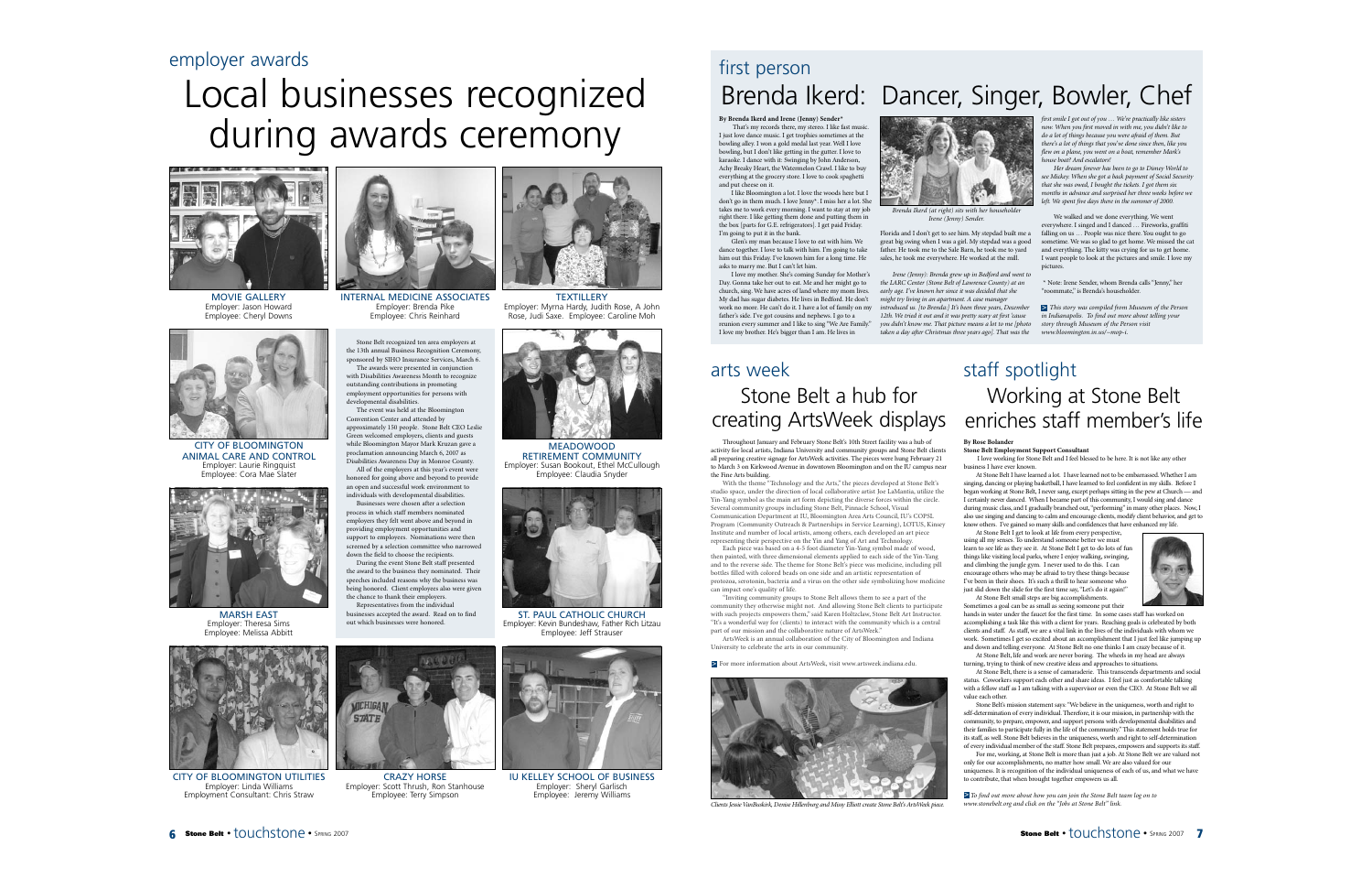# Local businesses recognized during awards ceremony



MOVIE GALLERY Employer: Jason Howard Employee: Cheryl Downs



CITY OF BLOOMINGTON ANIMAL CARE AND CONTROL Employer: Laurie Ringquist Employee: Cora Mae Slater



MARSH EAST Employer: Theresa Sims Employee: Melissa Abbitt



OF BLOOMINGTON UTILITIES Employer: Linda Williams Employment Consultant: Chris Straw



INTERNAL MEDICINE ASSOCIATES Employer: Brenda Pike Employee: Chris Reinhard

Stone Belt recognized ten area employers at the 13th annual Business Recognition Ceremony, sponsored by SIHO Insurance Services, March 6. The awards were presented in conjunction with Disabilities Awareness Month to recognize outstanding contributions in promoting employment opportunities for persons with developmental disabilities.

The event was held at the Bloomington Convention Center and attended by approximately 150 people. Stone Belt CEO Leslie Green welcomed employers, clients and guests while Bloomington Mayor Mark Kruzan gave a proclamation announcing March 6, 2007 as Disabilities Awareness Day in Monroe County. All of the employers at this year's event were honored for going above and beyond to provide

an open and successful work environment to individuals with developmental disabilities. Businesses were chosen after a selection

process in which staff members nominated employers they felt went above and beyond in providing employment opportunities and support to employees. Nominations were then screened by a selection committee who narrowed down the field to choose the recipients.

During the event Stone Belt staff presented the award to the business they nominated. Their speeches included reasons why the business was being honored. Client employees also were given the chance to thank their employers. Representatives from the individual businesses accepted the award. Read on to find

out which businesses were honored.

**MICHIGAL STATE** 

CRAZY HORSE Employer: Scott Thrush, Ron Stanhouse Employee: Terry Simpson



**TEXTILLERY** Employer: Myrna Hardy, Judith Rose, A John

MEADOWOOD RETIREMENT COMMUNITY Employer: Susan Bookout, Ethel McCullough Employee: Claudia Snyder



ST. PAUL CATHOLIC CHURCH Employer: Kevin Bundeshaw, Father Rich Litzau Employee: Jeff Strauser



IU KELLEY SCHOOL OF BUSINESS Employer: Sheryl Garlisch Employee: Jeremy Williams

## first person Brenda Ikerd: Dancer, Singer, Bowler, Chef

**By Brenda Ikerd and Irene (Jenny) Sender\***

That's my records there, my stereo. I like fast music. I just love dance music. I get trophies sometimes at the bowling alley. I won a gold medal last year. Well I love bowling, but I don't like getting in the gutter. I love to karaoke. I dance with it: Swinging by John Anderson, Achy Breaky Heart, the Watermelon Crawl. I like to buy everything at the grocery store. I love to cook spaghetti and put cheese on it.

I like Bloomington a lot. I love the woods here but I don't go in them much. I love Jenny\*. I miss her a lot. She takes me to work every morning. I want to stay at my job right there. I like getting them done and putting them in the box [parts for G.E. refrigerators]. I get paid Friday. I'm going to put it in the bank.

Glen's my man because I love to eat with him. We dance together. I love to talk with him. I'm going to take him out this Friday. I've known him for a long time. He asks to marry me. But I can't let him.

I love my mother. She's coming Sunday for Mother's Day. Gonna take her out to eat. Me and her might go to church, sing. We have acres of land where my mom lives. My dad has sugar diabetes. He lives in Bedford. He don't work no more. He can't do it. I have a lot of family on my father's side. I've got cousins and nephews. I go to a reunion every summer and I like to sing "We Are Family." I love my brother. He's bigger than I am. He lives in

# creating ArtsWeek displays arts week

Throughout January and February Stone Belt's 10th Street facility was a hub of activity for local artists, Indiana University and community groups and Stone Belt clients all preparing creative signage for ArtsWeek activities. The pieces were hung February 21 to March 3 on Kirkwood Avenue in downtown Bloomington and on the IU campus near the Fine Arts building.

With the theme "Technology and the Arts," the pieces developed at Stone Belt's studio space, under the direction of local collaborative artist Joe LaMantia, utilize the Yin-Yang symbol as the main art form depicting the diverse forces within the circle. Several community groups including Stone Belt, Pinnacle School, Visual Communication Department at IU, Bloomington Area Arts Council, IU's COPSL Program (Community Outreach & Partnerships in Service Learning), LOTUS, Kinsey Institute and number of local artists, among others, each developed an art piece representing their perspective on the Yin and Yang of Art and Technology.

Each piece was based on a 4-5 foot diameter Yin-Yang symbol made of wood, then painted, with three dimensional elements applied to each side of the Yin-Yang and to the reverse side. The theme for Stone Belt's piece was medicine, including pill bottles filled with colored beads on one side and an artistic representation of protozoa, serotonin, bacteria and a virus on the other side symbolizing how medicine can impact one's quality of life.

"Inviting community groups to Stone Belt allows them to see a part of the community they otherwise might not. And allowing Stone Belt clients to participate with such projects empowers them," said Karen Holtzclaw, Stone Belt Art Instructor. "It's a wonderful way for (clients) to interact with the community which is a central part of our mission and the collaborative nature of ArtsWeek."

ArtsWeek is an annual collaboration of the City of Bloomington and Indiana University to celebrate the arts in our community.

> For more information about ArtsWeek, visit www.artsweek.indiana.edu.



*Clients Jessie VanBuskirk, Denise Hillenburg and Missy Elliott create Stone Belt's ArtsWeek piece.*



*Brenda Ikerd (at right) sits with her householder Irene (Jenny) Sender.*

Florida and I don't get to see him. My stepdad built me a great big swing when I was a girl. My stepdad was a good father. He took me to the Sale Barn, he took me to yard sales, he took me everywhere. He worked at the mill.

*Irene (Jenny): Brenda grew up in Bedford and went to the LARC Center (Stone Belt of Lawrence County) at an early age. I've known her since it was decided that she might try living in an apartment. A case manager introduced us. [to Brenda:] It's been three years, December 12th. We tried it out and it was pretty scary at first 'cause you didn't know me. That picture means a lot to me [photo taken a day after Christmas three years ago]. That was the*

*first smile I got out of you … We're practically like sisters now. When you first moved in with me, you didn't like to do a lot of things because you were afraid of them. But there's a lot of things that you've done since then, like you flew on a plane, you went on a boat, remember Mark's house boat? And escalators!* 

*Her dream forever has been to go to Disney World to see Mickey. When she got a back payment of Social Security that she was owed, I bought the tickets. I got them six months in advance and surprised her three weeks before we left. We spent five days there in the summer of 2000.*

We walked and we done everything. We went everywhere. I singed and I danced … Fireworks, graffiti falling on us ... People was nice there. You ought to go sometime. We was so glad to get home. We missed the cat and everything. The kitty was crying for us to get home. I want people to look at the pictures and smile. I love my pictures.

\* Note: Irene Sender, whom Brenda calls "Jenny," her "roommate," is Brenda's householder.

*This story was compiled from Museum of the Person* >*in Indianapolis. To find out more about telling your story through Museum of the Person visit www.bloomington.in.us/~mop-i*.

## Stone Belt a hub for Working at Stone Belt staff spotlight enriches staff member's life

#### **By Rose Bolander**

**Stone Belt Employment Support Consultant** I love working for Stone Belt and I feel blessed to be here. It is not like any other business I have ever known.

At Stone Belt I have learned a lot. I have learned not to be embarrassed. Whether I am singing, dancing or playing basketball, I have learned to feel confident in my skills. Before I began working at Stone Belt, I never sang, except perhaps sitting in the pew at Church — and I certainly never danced. When I became part of this community, I would sing and dance during music class, and I gradually branched out,"performing" in many other places. Now, <sup>I</sup> also use singing and dancing to calm and encourage clients, modify client behavior, and get to know others. I've gained so many skills and confidences that have enhanced my life.

At Stone Belt I get to look at life from every perspective, using all my senses. To understand someone better we must learn to see life as they see it. At Stone Belt I get to do lots of fun things like visiting local parks, where I enjoy walking, swinging, and climbing the jungle gym. I never used to do this. I can encourage others who may be afraid to try these things because I've been in their shoes. It's such a thrill to hear someone who just slid down the slide for the first time say, "Let's do it again!" At Stone Belt small steps are big accomplishments.

Sometimes a goal can be as small as seeing someone put their hands in water under the faucet for the first time. In some cases staff has worked on accomplishing a task like this with a client for years. Reaching goals is celebrated by both clients and staff. As staff, we are a vital link in the lives of the individuals with whom we work. Sometimes I get so excited about an accomplishment that I just feel like jumping up and down and telling everyone. At Stone Belt no one thinks I am crazy because of it.

At Stone Belt, life and work are never boring. The wheels in my head are always turning, trying to think of new creative ideas and approaches to situations.

At Stone Belt, there is a sense of camaraderie. This transcends departments and social status. Coworkers support each other and share ideas. I feel just as comfortable talking with a fellow staff as I am talking with a supervisor or even the CEO. At Stone Belt we all value each other.

Stone Belt's mission statement says: "We believe in the uniqueness, worth and right to self-determination of every individual. Therefore, it is our mission, in partnership with the community, to prepare, empower, and support persons with developmental disabilities and their families to participate fully in the life of the community." This statement holds true for its staff, as well. Stone Belt believes in the uniqueness, worth and right to self-determination of every individual member of the staff. Stone Belt prepares, empowers and supports its staff.

For me, working, at Stone Belt is more than just a job. At Stone Belt we are valued not only for our accomplishments, no matter how small. We are also valued for our uniqueness. It is recognition of the individual uniqueness of each of us, and what we have to contribute, that when brought together empowers us all.

**≥** To find out more about how you can join the Stone Belt team log on to *www.stonebelt.org and click on the "Jobs at Stone Belt" link.*